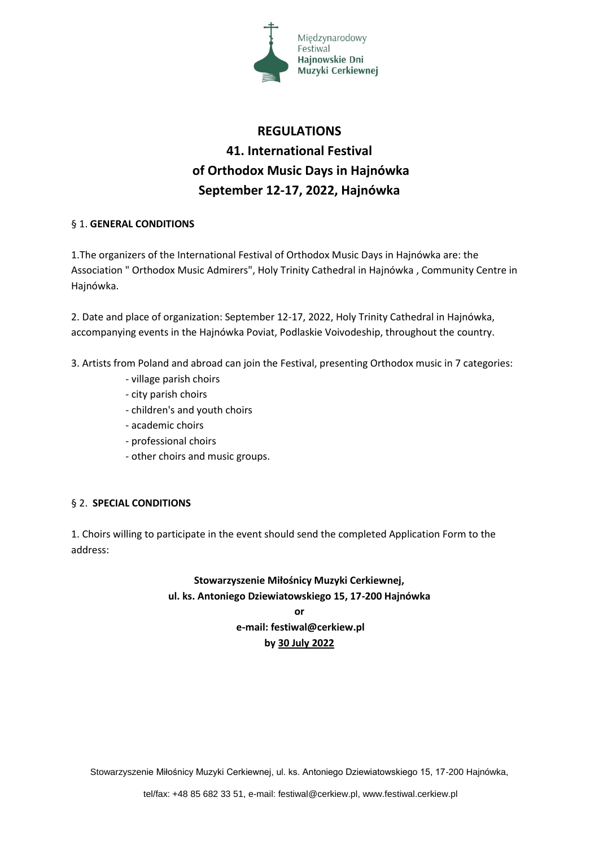

# **REGULATIONS 41. International Festival of Orthodox Music Days in Hajnówka September 12-17, 2022, Hajnówka**

### § 1. **GENERAL CONDITIONS**

1.The organizers of the International Festival of Orthodox Music Days in Hajnówka are: the Association " Orthodox Music Admirers", Holy Trinity Cathedral in Hajnówka , Community Centre in Hajnówka.

2. Date and place of organization: September 12-17, 2022, Holy Trinity Cathedral in Hajnówka, accompanying events in the Hajnówka Poviat, Podlaskie Voivodeship, throughout the country.

- 3. Artists from Poland and abroad can join the Festival, presenting Orthodox music in 7 categories:
	- village parish choirs
	- city parish choirs
	- children's and youth choirs
	- academic choirs
	- professional choirs
	- other choirs and music groups.

### § 2. **SPECIAL CONDITIONS**

1. Choirs willing to participate in the event should send the completed Application Form to the address:

## **Stowarzyszenie Miłośnicy Muzyki Cerkiewnej, ul. ks. Antoniego Dziewiatowskiego 15, 17-200 Hajnówka**

**or e-mail: festiwal@cerkiew.pl by 30 July 2022**

Stowarzyszenie Miłośnicy Muzyki Cerkiewnej, ul. ks. Antoniego Dziewiatowskiego 15, 17-200 Hajnówka,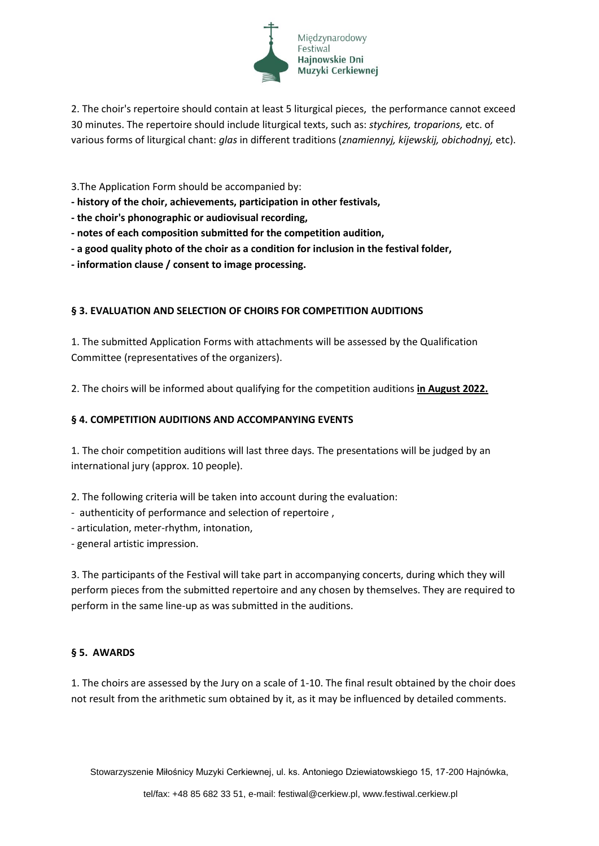

2. The choir's repertoire should contain at least 5 liturgical pieces, the performance cannot exceed 30 minutes. The repertoire should include liturgical texts, such as: *stychires, troparions,* etc. of various forms of liturgical chant: *glas* in different traditions (*znamiennyj, kijewskij, obichodnyj,* etc).

3.The Application Form should be accompanied by:

**- history of the choir, achievements, participation in other festivals,**

**- the choir's phonographic or audiovisual recording,** 

- **- notes of each composition submitted for the competition audition,**
- **- a good quality photo of the choir as a condition for inclusion in the festival folder,**
- **- information clause / consent to image processing.**

### **§ 3. EVALUATION AND SELECTION OF CHOIRS FOR COMPETITION AUDITIONS**

1. The submitted Application Forms with attachments will be assessed by the Qualification Committee (representatives of the organizers).

2. The choirs will be informed about qualifying for the competition auditions **in August 2022.**

### **§ 4. COMPETITION AUDITIONS AND ACCOMPANYING EVENTS**

1. The choir competition auditions will last three days. The presentations will be judged by an international jury (approx. 10 people).

2. The following criteria will be taken into account during the evaluation:

- authenticity of performance and selection of repertoire ,
- articulation, meter-rhythm, intonation,

- general artistic impression.

3. The participants of the Festival will take part in accompanying concerts, during which they will perform pieces from the submitted repertoire and any chosen by themselves. They are required to perform in the same line-up as was submitted in the auditions.

### **§ 5. AWARDS**

1. The choirs are assessed by the Jury on a scale of 1-10. The final result obtained by the choir does not result from the arithmetic sum obtained by it, as it may be influenced by detailed comments.

Stowarzyszenie Miłośnicy Muzyki Cerkiewnej, ul. ks. Antoniego Dziewiatowskiego 15, 17-200 Hajnówka,